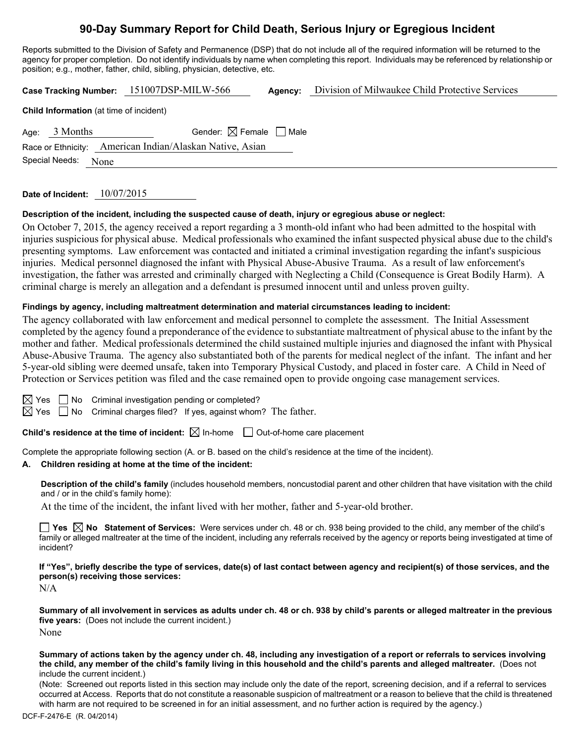## **90-Day Summary Report for Child Death, Serious Injury or Egregious Incident**

Reports submitted to the Division of Safety and Permanence (DSP) that do not include all of the required information will be returned to the agency for proper completion. Do not identify individuals by name when completing this report. Individuals may be referenced by relationship or position; e.g., mother, father, child, sibling, physician, detective, etc.

**Case Tracking Number:** 151007DSP-MILW-566 **Agency:** Division of Milwaukee Child Protective Services **Child Information** (at time of incident) Age:  $3$  Months Gender:  $\boxtimes$  Female  $\Box$  Male Race or Ethnicity: American Indian/Alaskan Native, Asian

**Date of Incident:** 10/07/2015

Special Needs: None

**Description of the incident, including the suspected cause of death, injury or egregious abuse or neglect:** 

On October 7, 2015, the agency received a report regarding a 3 month-old infant who had been admitted to the hospital with injuries suspicious for physical abuse. Medical professionals who examined the infant suspected physical abuse due to the child's presenting symptoms. Law enforcement was contacted and initiated a criminal investigation regarding the infant's suspicious injuries. Medical personnel diagnosed the infant with Physical Abuse-Abusive Trauma. As a result of law enforcement's investigation, the father was arrested and criminally charged with Neglecting a Child (Consequence is Great Bodily Harm). A criminal charge is merely an allegation and a defendant is presumed innocent until and unless proven guilty.

### **Findings by agency, including maltreatment determination and material circumstances leading to incident:**

The agency collaborated with law enforcement and medical personnel to complete the assessment. The Initial Assessment completed by the agency found a preponderance of the evidence to substantiate maltreatment of physical abuse to the infant by the mother and father. Medical professionals determined the child sustained multiple injuries and diagnosed the infant with Physical Abuse-Abusive Trauma. The agency also substantiated both of the parents for medical neglect of the infant. The infant and her 5-year-old sibling were deemed unsafe, taken into Temporary Physical Custody, and placed in foster care. A Child in Need of Protection or Services petition was filed and the case remained open to provide ongoing case management services.

 $\boxtimes$  Yes  $\Box$  No Criminal investigation pending or completed?

 $\boxtimes$  Yes  $\Box$  No Criminal charges filed? If yes, against whom? The father.

**Child's residence at the time of incident:**  $\boxtimes$  In-home  $\Box$  Out-of-home care placement

Complete the appropriate following section (A. or B. based on the child's residence at the time of the incident).

### **A. Children residing at home at the time of the incident:**

**Description of the child's family** (includes household members, noncustodial parent and other children that have visitation with the child and / or in the child's family home):

At the time of the incident, the infant lived with her mother, father and 5-year-old brother.

**Yes No Statement of Services:** Were services under ch. 48 or ch. 938 being provided to the child, any member of the child's family or alleged maltreater at the time of the incident, including any referrals received by the agency or reports being investigated at time of incident?

**If "Yes", briefly describe the type of services, date(s) of last contact between agency and recipient(s) of those services, and the person(s) receiving those services:** 

N/A

**Summary of all involvement in services as adults under ch. 48 or ch. 938 by child's parents or alleged maltreater in the previous five years:** (Does not include the current incident.) None

**Summary of actions taken by the agency under ch. 48, including any investigation of a report or referrals to services involving the child, any member of the child's family living in this household and the child's parents and alleged maltreater.** (Does not include the current incident.)

(Note: Screened out reports listed in this section may include only the date of the report, screening decision, and if a referral to services occurred at Access. Reports that do not constitute a reasonable suspicion of maltreatment or a reason to believe that the child is threatened with harm are not required to be screened in for an initial assessment, and no further action is required by the agency.)